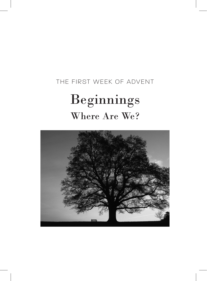## THE FIRST WEEK OF ADVENT Beginnings Where Are We?

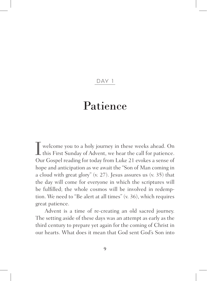## D AY 1

## Patience

Iwelcome you to a holy journey in these weeks ahead. On  $\perp$  this First Sunday of Advent, we hear the call for patience. Our Gospel reading for today from Luke 21 evokes a sense of hope and anticipation as we await the "Son of Man coming in a cloud with great glory" (v. 27). Jesus assures us (v. 35) that the day will come for everyone in which the scriptures will be fulfilled; the whole cosmos will be involved in redemption. We need to "Be alert at all times" (v. 36), which requires great patience.

Advent is a time of re-creating an old sacred journey. The setting aside of these days was an attempt as early as the third century to prepare yet again for the coming of Christ in our hearts. What does it mean that God sent God's Son into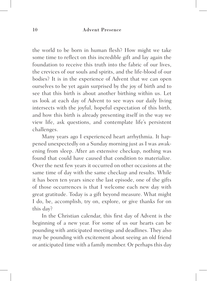the world to be born in human flesh? How might we take some time to reflect on this incredible gift and lay again the foundation to receive this truth into the fabric of our lives, the crevices of our souls and spirits, and the life-blood of our bodies? It is in the experience of Advent that we can open ourselves to be yet again surprised by the joy of birth and to see that this birth is about another birthing within us. Let us look at each day of Advent to see ways our daily living intersects with the joyful, hopeful expectation of this birth, and how this birth is already presenting itself in the way we view life, ask questions, and contemplate life's persistent challenges.

Many years ago I experienced heart arrhythmia. It happened unexpectedly on a Sunday morning just as I was awakening from sleep. After an extensive checkup, nothing was found that could have caused that condition to materialize. Over the next few years it occurred on other occasions at the same time of day with the same checkup and results. While it has been ten years since the last episode, one of the gifts of those occurrences is that I welcome each new day with great gratitude. Today is a gift beyond measure. What might I do, be, accomplish, try on, explore, or give thanks for on this day?

In the Christian calendar, this first day of Advent is the beginning of a new year. For some of us our hearts can be pounding with anticipated meetings and deadlines. They also may be pounding with excitement about seeing an old friend or anticipated time with a family member. Or perhaps this day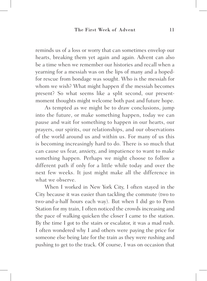reminds us of a loss or worry that can sometimes envelop our hearts, breaking them yet again and again. Advent can also be a time when we remember our histories and recall when a yearning for a messiah was on the lips of many and a hopedfor rescue from bondage was sought. Who is the messiah for whom we wish? What might happen if the messiah becomes present? So what seems like a split second, our presentmoment thoughts might welcome both past and future hope.

As tempted as we might be to draw conclusions, jump into the future, or make something happen, today we can pause and wait for something to happen in our hearts, our prayers, our spirits, our relationships, and our observations of the world around us and within us. For many of us this is becoming increasingly hard to do. There is so much that can cause us fear, anxiety, and impatience to want to make something happen. Perhaps we might choose to follow a different path if only for a little while today and over the next few weeks. It just might make all the difference in what we observe.

When I worked in New York City, I often stayed in the City because it was easier than tackling the commute (two to two-and-a-half hours each way). But when I did go to Penn Station for my train, I often noticed the crowds increasing and the pace of walking quicken the closer I came to the station. By the time I got to the stairs or escalator, it was a mad rush. I often wondered why I and others were paying the price for someone else being late for the train as they were rushing and pushing to get to the track. Of course, I was on occasion that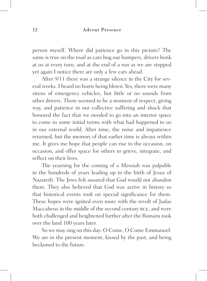person myself. Where did patience go in this picture? The same is true on the road as cars hug our bumpers, drivers honk at us at every turn, and at the end of a run as we are stopped yet again I notice there are only a few cars ahead.

After 9/11 there was a strange silence in the City for several weeks. I heard no horns being blown. Yes, there were many sirens of emergency vehicles, but little or no sounds from other drivers. There seemed to be a moment of respect, giving way, and patience in our collective suffering and shock that honored the fact that we needed to go into an interior space to come to some initial terms with what had happened to us in our external world. After time, the noise and impatience returned, but the memory of that earlier time is always within me. It gives me hope that people can rise to the occasion, on occasion, and offer space for others to grieve, integrate, and reflect on their lives.

The yearning for the coming of a Messiah was palpable in the hundreds of years leading up to the birth of Jesus of Nazareth. The Jews felt assured that God would not abandon them. They also believed that God was active in history so that historical events took on special significance for them. These hopes were ignited even more with the revolt of Judas Maccabeus in the middle of the second century bce, and were both challenged and heightened further after the Romans took over the land 100 years later.

So we may sing on this day: O Come, O Come Emmanuel. We are in the present moment, kissed by the past, and being beckoned to the future.